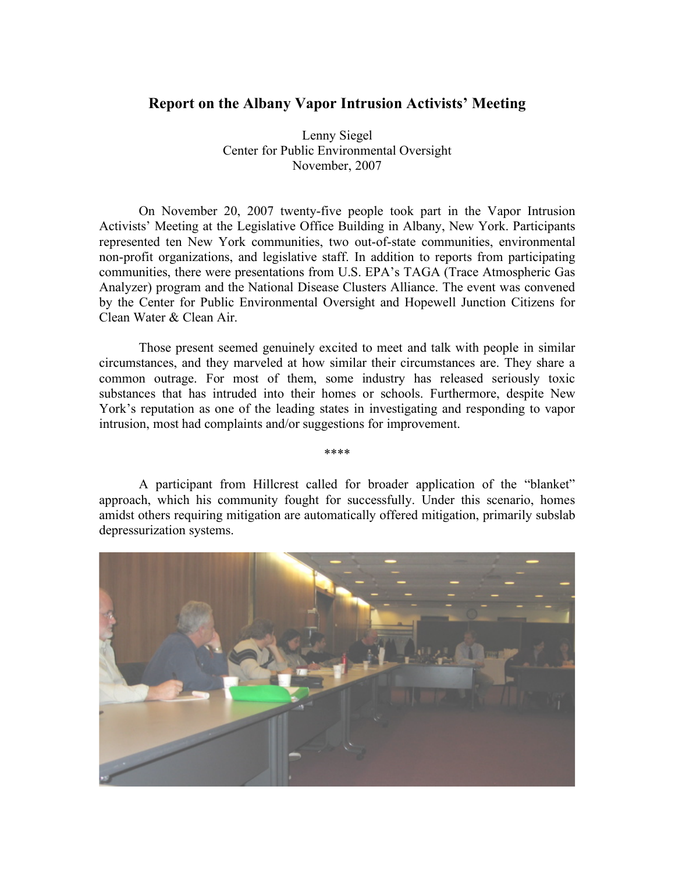## **Report on the Albany Vapor Intrusion Activists' Meeting**

Lenny Siegel Center for Public Environmental Oversight November, 2007

On November 20, 2007 twenty-five people took part in the Vapor Intrusion Activists' Meeting at the Legislative Office Building in Albany, New York. Participants represented ten New York communities, two out-of-state communities, environmental non-profit organizations, and legislative staff. In addition to reports from participating communities, there were presentations from U.S. EPA's TAGA (Trace Atmospheric Gas Analyzer) program and the National Disease Clusters Alliance. The event was convened by the Center for Public Environmental Oversight and Hopewell Junction Citizens for Clean Water & Clean Air.

Those present seemed genuinely excited to meet and talk with people in similar circumstances, and they marveled at how similar their circumstances are. They share a common outrage. For most of them, some industry has released seriously toxic substances that has intruded into their homes or schools. Furthermore, despite New York's reputation as one of the leading states in investigating and responding to vapor intrusion, most had complaints and/or suggestions for improvement.

\*\*\*\*

A participant from Hillcrest called for broader application of the "blanket" approach, which his community fought for successfully. Under this scenario, homes amidst others requiring mitigation are automatically offered mitigation, primarily subslab depressurization systems.

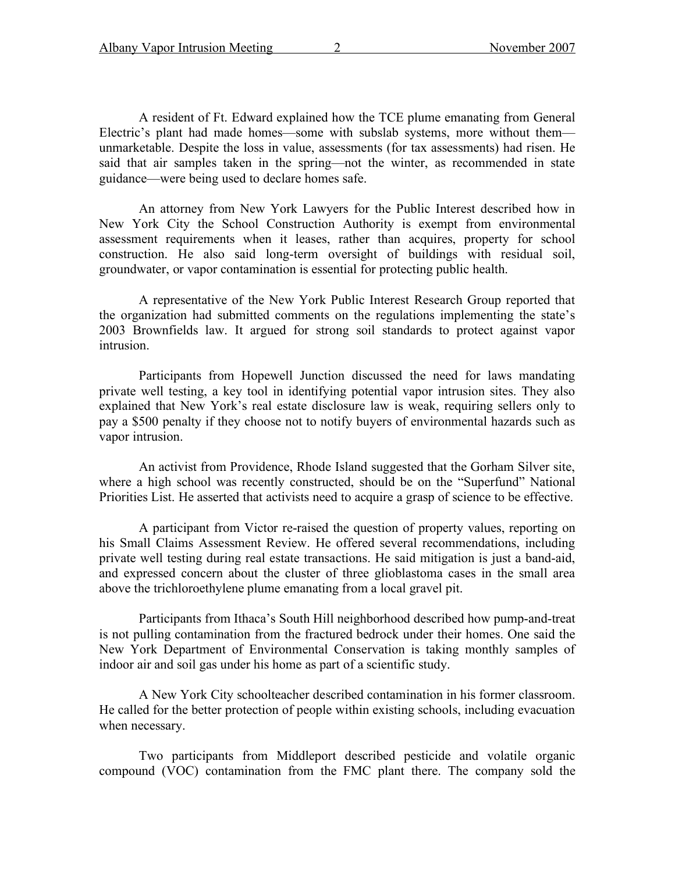A resident of Ft. Edward explained how the TCE plume emanating from General Electric's plant had made homes—some with subslab systems, more without them unmarketable. Despite the loss in value, assessments (for tax assessments) had risen. He said that air samples taken in the spring—not the winter, as recommended in state guidance—were being used to declare homes safe.

An attorney from New York Lawyers for the Public Interest described how in New York City the School Construction Authority is exempt from environmental assessment requirements when it leases, rather than acquires, property for school construction. He also said long-term oversight of buildings with residual soil, groundwater, or vapor contamination is essential for protecting public health.

A representative of the New York Public Interest Research Group reported that the organization had submitted comments on the regulations implementing the state's 2003 Brownfields law. It argued for strong soil standards to protect against vapor intrusion.

Participants from Hopewell Junction discussed the need for laws mandating private well testing, a key tool in identifying potential vapor intrusion sites. They also explained that New York's real estate disclosure law is weak, requiring sellers only to pay a \$500 penalty if they choose not to notify buyers of environmental hazards such as vapor intrusion.

An activist from Providence, Rhode Island suggested that the Gorham Silver site, where a high school was recently constructed, should be on the "Superfund" National Priorities List. He asserted that activists need to acquire a grasp of science to be effective.

A participant from Victor re-raised the question of property values, reporting on his Small Claims Assessment Review. He offered several recommendations, including private well testing during real estate transactions. He said mitigation is just a band-aid, and expressed concern about the cluster of three glioblastoma cases in the small area above the trichloroethylene plume emanating from a local gravel pit.

Participants from Ithaca's South Hill neighborhood described how pump-and-treat is not pulling contamination from the fractured bedrock under their homes. One said the New York Department of Environmental Conservation is taking monthly samples of indoor air and soil gas under his home as part of a scientific study.

A New York City schoolteacher described contamination in his former classroom. He called for the better protection of people within existing schools, including evacuation when necessary.

Two participants from Middleport described pesticide and volatile organic compound (VOC) contamination from the FMC plant there. The company sold the